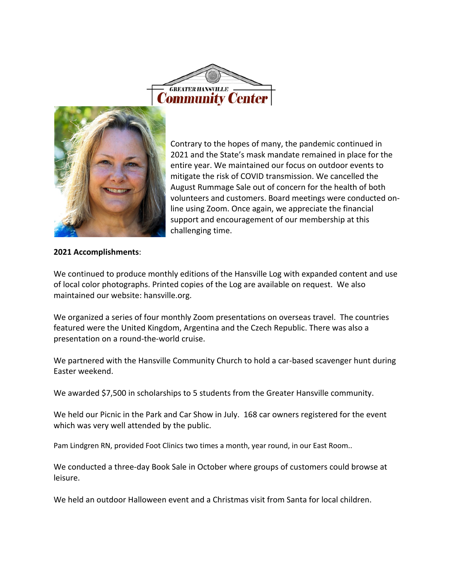



Contrary to the hopes of many, the pandemic continued in 2021 and the State's mask mandate remained in place for the entire year. We maintained our focus on outdoor events to mitigate the risk of COVID transmission. We cancelled the August Rummage Sale out of concern for the health of both volunteers and customers. Board meetings were conducted online using Zoom. Once again, we appreciate the financial support and encouragement of our membership at this challenging time.

## **2021 Accomplishments**:

We continued to produce monthly editions of the Hansville Log with expanded content and use of local color photographs. Printed copies of the Log are available on request. We also maintained our website: hansville.org.

We organized a series of four monthly Zoom presentations on overseas travel. The countries featured were the United Kingdom, Argentina and the Czech Republic. There was also a presentation on a round-the-world cruise.

We partnered with the Hansville Community Church to hold a car-based scavenger hunt during Easter weekend.

We awarded \$7,500 in scholarships to 5 students from the Greater Hansville community.

We held our Picnic in the Park and Car Show in July. 168 car owners registered for the event which was very well attended by the public.

Pam Lindgren RN, provided Foot Clinics two times a month, year round, in our East Room..

We conducted a three-day Book Sale in October where groups of customers could browse at leisure.

We held an outdoor Halloween event and a Christmas visit from Santa for local children.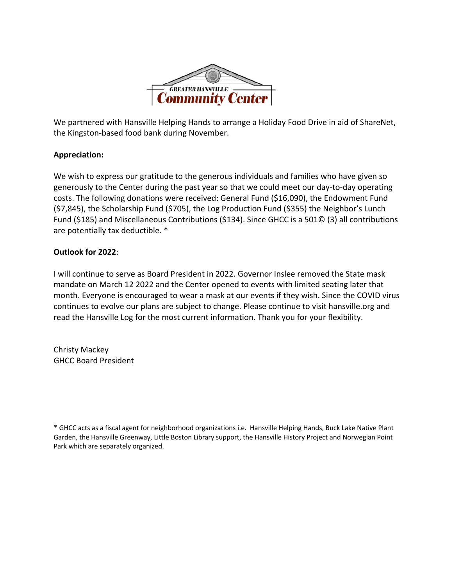

We partnered with Hansville Helping Hands to arrange a Holiday Food Drive in aid of ShareNet, the Kingston-based food bank during November.

## **Appreciation:**

We wish to express our gratitude to the generous individuals and families who have given so generously to the Center during the past year so that we could meet our day-to-day operating costs. The following donations were received: General Fund (\$16,090), the Endowment Fund (\$7,845), the Scholarship Fund (\$705), the Log Production Fund (\$355) the Neighbor's Lunch Fund (\$185) and Miscellaneous Contributions (\$134). Since GHCC is a 501© (3) all contributions are potentially tax deductible. \*

## **Outlook for 2022**:

I will continue to serve as Board President in 2022. Governor Inslee removed the State mask mandate on March 12 2022 and the Center opened to events with limited seating later that month. Everyone is encouraged to wear a mask at our events if they wish. Since the COVID virus continues to evolve our plans are subject to change. Please continue to visit hansville.org and read the Hansville Log for the most current information. Thank you for your flexibility.

Christy Mackey GHCC Board President

\* GHCC acts as a fiscal agent for neighborhood organizations i.e. Hansville Helping Hands, Buck Lake Native Plant Garden, the Hansville Greenway, Little Boston Library support, the Hansville History Project and Norwegian Point Park which are separately organized.